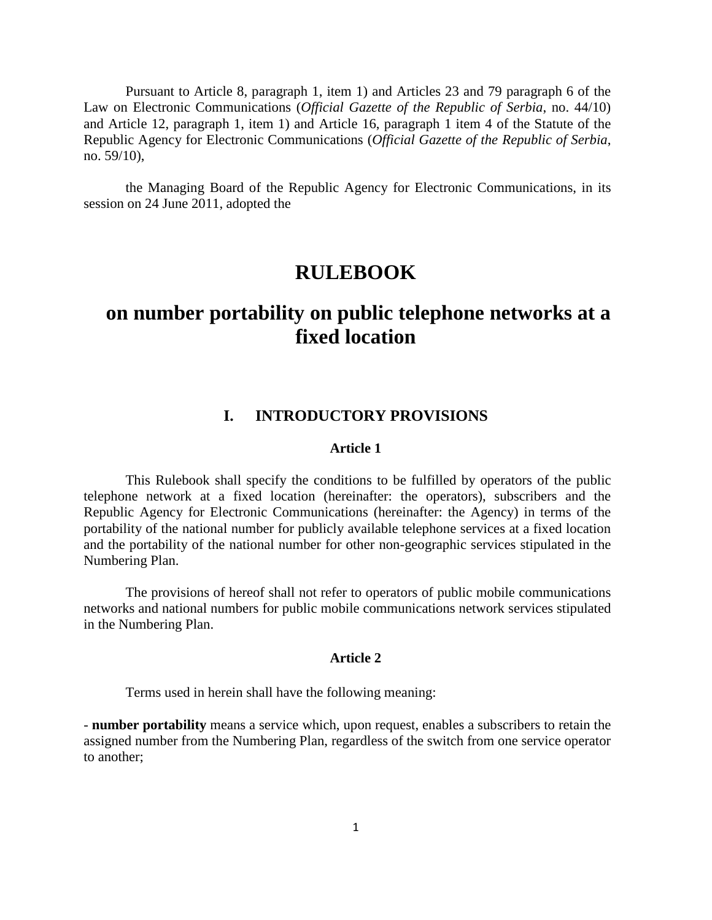Pursuant to Article 8, paragraph 1, item 1) and Articles 23 and 79 paragraph 6 of the Law on Electronic Communications (*Official Gazette of the Republic of Serbia*, no. 44/10) and Article 12, paragraph 1, item 1) and Article 16, paragraph 1 item 4 of the Statute of the Republic Agency for Electronic Communications (*Official Gazette of the Republic of Serbia*, no. 59/10),

the Managing Board of the Republic Agency for Electronic Communications, in its session on 24 June 2011, adopted the

# **RULEBOOK**

# **on number portability on public telephone networks at a fixed location**

# **I. INTRODUCTORY PROVISIONS**

#### **Article 1**

This Rulebook shall specify the conditions to be fulfilled by operators of the public telephone network at a fixed location (hereinafter: the operators), subscribers and the Republic Agency for Electronic Communications (hereinafter: the Agency) in terms of the portability of the national number for publicly available telephone services at a fixed location and the portability of the national number for other non-geographic services stipulated in the Numbering Plan.

The provisions of hereof shall not refer to operators of public mobile communications networks and national numbers for public mobile communications network services stipulated in the Numbering Plan.

## **Article 2**

Terms used in herein shall have the following meaning:

- **number portability** means a service which, upon request, enables a subscribers to retain the assigned number from the Numbering Plan, regardless of the switch from one service operator to another;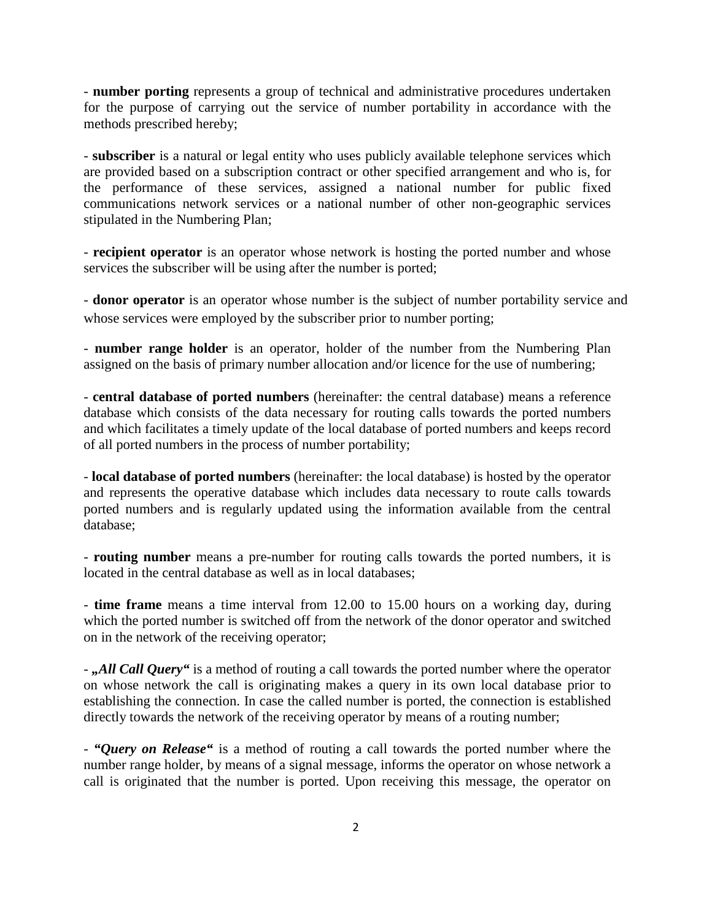- **number porting** represents a group of technical and administrative procedures undertaken for the purpose of carrying out the service of number portability in accordance with the methods prescribed hereby;

- **subscriber** is a natural or legal entity who uses publicly available telephone services which are provided based on a subscription contract or other specified arrangement and who is, for the performance of these services, assigned a national number for public fixed communications network services or a national number of other non-geographic services stipulated in the Numbering Plan;

- **recipient operator** is an operator whose network is hosting the ported number and whose services the subscriber will be using after the number is ported;

- **donor operator** is an operator whose number is the subject of number portability service and whose services were employed by the subscriber prior to number porting;

- **number range holder** is an operator, holder of the number from the Numbering Plan assigned on the basis of primary number allocation and/or licence for the use of numbering;

- **central database of ported numbers** (hereinafter: the central database) means a reference database which consists of the data necessary for routing calls towards the ported numbers and which facilitates a timely update of the local database of ported numbers and keeps record of all ported numbers in the process of number portability;

- **local database of ported numbers** (hereinafter: the local database) is hosted by the operator and represents the operative database which includes data necessary to route calls towards ported numbers and is regularly updated using the information available from the central database;

- **routing number** means a pre-number for routing calls towards the ported numbers, it is located in the central database as well as in local databases;

- **time frame** means a time interval from 12.00 to 15.00 hours on a working day, during which the ported number is switched off from the network of the donor operator and switched on in the network of the receiving operator;

-,All Call Query" is a method of routing a call towards the ported number where the operator on whose network the call is originating makes a query in its own local database prior to establishing the connection. In case the called number is ported, the connection is established directly towards the network of the receiving operator by means of a routing number;

- *"Query on Release"* is a method of routing a call towards the ported number where the number range holder, by means of a signal message, informs the operator on whose network a call is originated that the number is ported. Upon receiving this message, the operator on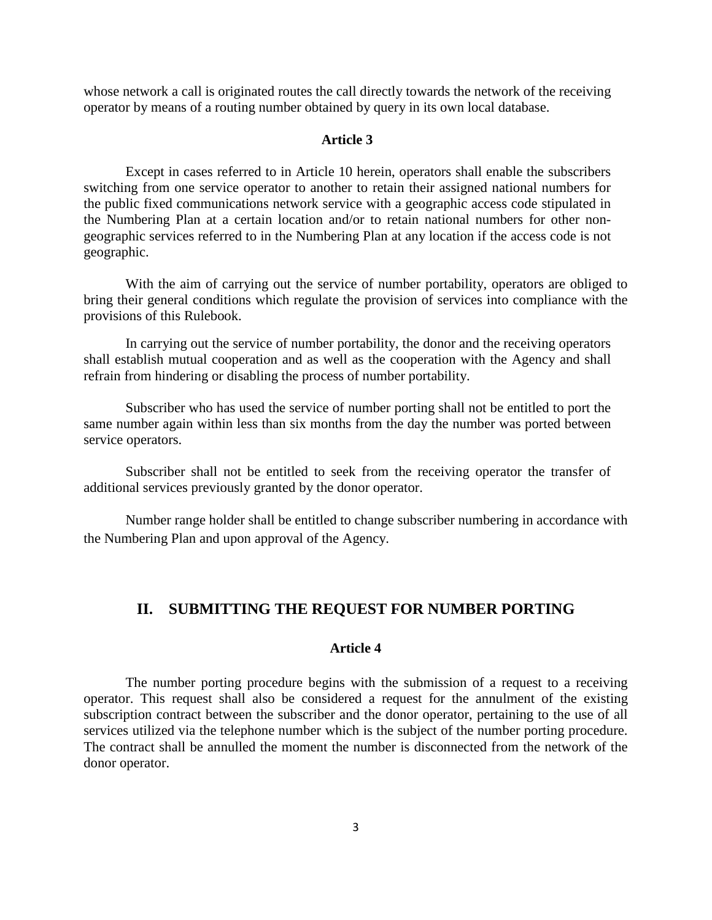whose network a call is originated routes the call directly towards the network of the receiving operator by means of a routing number obtained by query in its own local database.

#### **Article 3**

Except in cases referred to in Article 10 herein, operators shall enable the subscribers switching from one service operator to another to retain their assigned national numbers for the public fixed communications network service with a geographic access code stipulated in the Numbering Plan at a certain location and/or to retain national numbers for other nongeographic services referred to in the Numbering Plan at any location if the access code is not geographic.

With the aim of carrying out the service of number portability, operators are obliged to bring their general conditions which regulate the provision of services into compliance with the provisions of this Rulebook.

In carrying out the service of number portability, the donor and the receiving operators shall establish mutual cooperation and as well as the cooperation with the Agency and shall refrain from hindering or disabling the process of number portability.

Subscriber who has used the service of number porting shall not be entitled to port the same number again within less than six months from the day the number was ported between service operators.

Subscriber shall not be entitled to seek from the receiving operator the transfer of additional services previously granted by the donor operator.

Number range holder shall be entitled to change subscriber numbering in accordance with the Numbering Plan and upon approval of the Agency.

# **II. SUBMITTING THE REQUEST FOR NUMBER PORTING**

## **Article 4**

The number porting procedure begins with the submission of a request to a receiving operator. This request shall also be considered a request for the annulment of the existing subscription contract between the subscriber and the donor operator, pertaining to the use of all services utilized via the telephone number which is the subject of the number porting procedure. The contract shall be annulled the moment the number is disconnected from the network of the donor operator.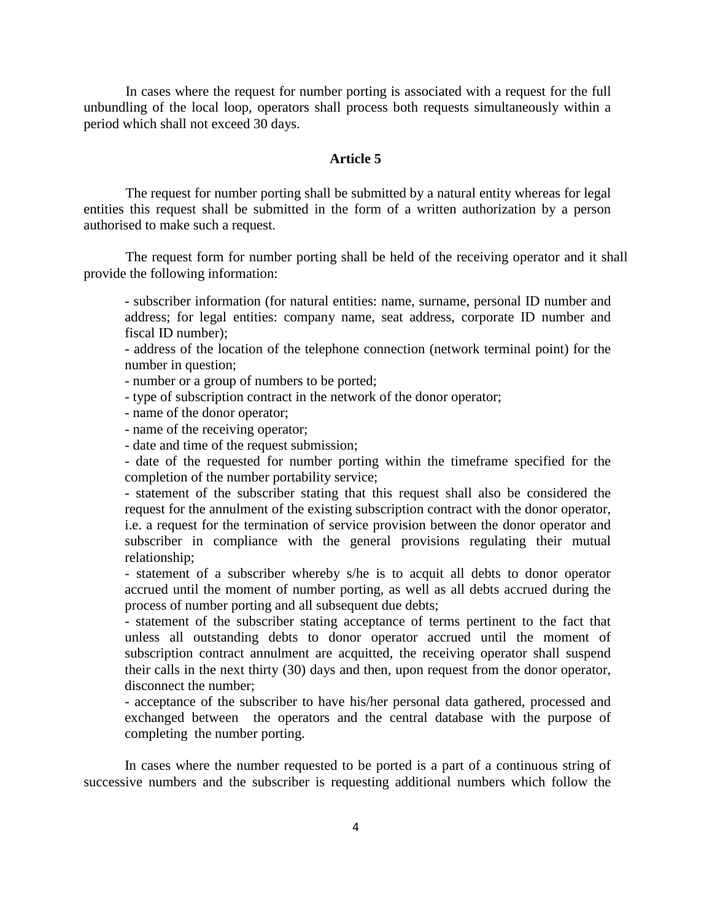In cases where the request for number porting is associated with a request for the full unbundling of the local loop, operators shall process both requests simultaneously within a period which shall not exceed 30 days.

#### **Article 5**

The request for number porting shall be submitted by a natural entity whereas for legal entities this request shall be submitted in the form of a written authorization by a person authorised to make such a request.

The request form for number porting shall be held of the receiving operator and it shall provide the following information:

- subscriber information (for natural entities: name, surname, personal ID number and address; for legal entities: company name, seat address, corporate ID number and fiscal ID number);

- address of the location of the telephone connection (network terminal point) for the number in question;

- number or a group of numbers to be ported;

- type of subscription contract in the network of the donor operator;

- name of the donor operator;

- name of the receiving operator;

- date and time of the request submission;

- date of the requested for number porting within the timeframe specified for the completion of the number portability service;

- statement of the subscriber stating that this request shall also be considered the request for the annulment of the existing subscription contract with the donor operator, i.e. a request for the termination of service provision between the donor operator and subscriber in compliance with the general provisions regulating their mutual relationship;

- statement of a subscriber whereby s/he is to acquit all debts to donor operator accrued until the moment of number porting, as well as all debts accrued during the process of number porting and all subsequent due debts;

- statement of the subscriber stating acceptance of terms pertinent to the fact that unless all outstanding debts to donor operator accrued until the moment of subscription contract annulment are acquitted, the receiving operator shall suspend their calls in the next thirty (30) days and then, upon request from the donor operator, disconnect the number;

- acceptance of the subscriber to have his/her personal data gathered, processed and exchanged between the operators and the central database with the purpose of completing the number porting.

In cases where the number requested to be ported is a part of a continuous string of successive numbers and the subscriber is requesting additional numbers which follow the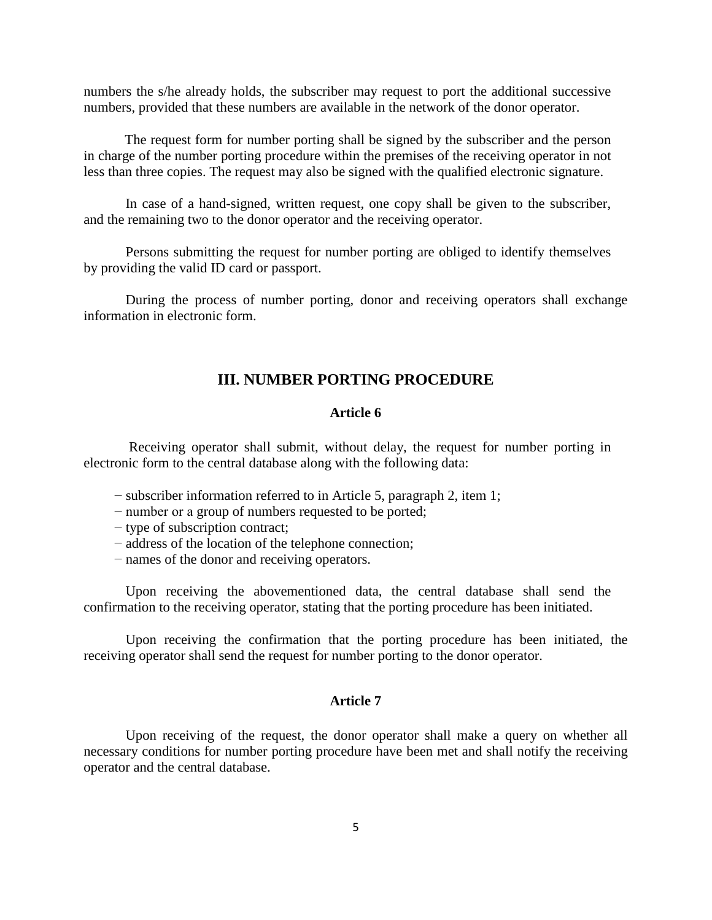numbers the s/he already holds, the subscriber may request to port the additional successive numbers, provided that these numbers are available in the network of the donor operator.

The request form for number porting shall be signed by the subscriber and the person in charge of the number porting procedure within the premises of the receiving operator in not less than three copies. The request may also be signed with the qualified electronic signature.

In case of a hand-signed, written request, one copy shall be given to the subscriber, and the remaining two to the donor operator and the receiving operator.

Persons submitting the request for number porting are obliged to identify themselves by providing the valid ID card or passport.

During the process of number porting, donor and receiving operators shall exchange information in electronic form.

## **III. NUMBER PORTING PROCEDURE**

#### **Article 6**

Receiving operator shall submit, without delay, the request for number porting in electronic form to the central database along with the following data:

- − subscriber information referred to in Article 5, paragraph 2, item 1;
- − number or a group of numbers requested to be ported;
- − type of subscription contract;
- − address of the location of the telephone connection;
- − names of the donor and receiving operators.

Upon receiving the abovementioned data, the central database shall send the confirmation to the receiving operator, stating that the porting procedure has been initiated.

Upon receiving the confirmation that the porting procedure has been initiated, the receiving operator shall send the request for number porting to the donor operator.

#### **Article 7**

Upon receiving of the request, the donor operator shall make a query on whether all necessary conditions for number porting procedure have been met and shall notify the receiving operator and the central database.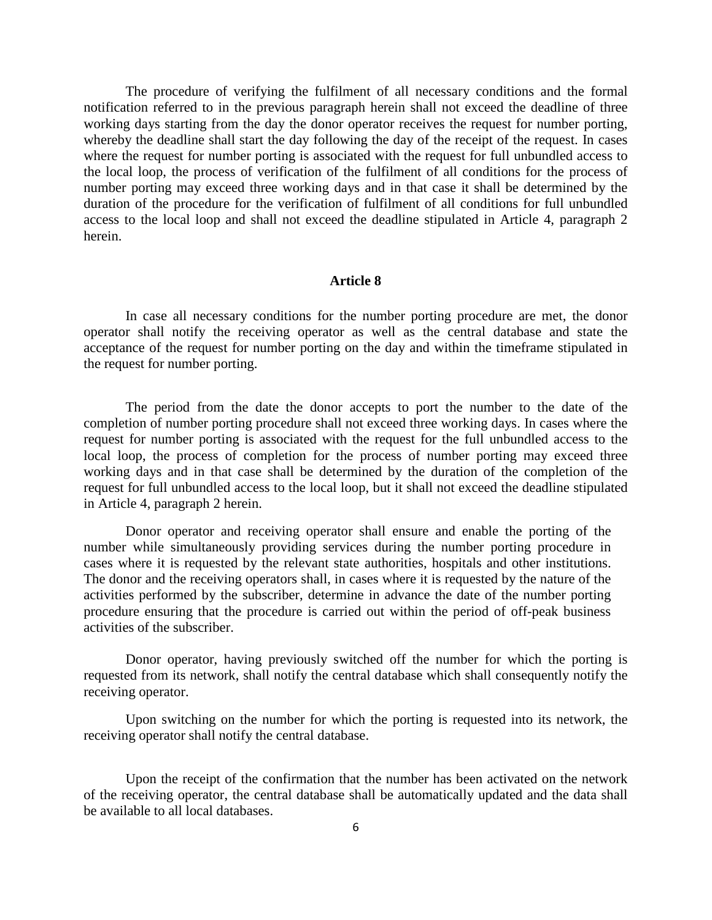The procedure of verifying the fulfilment of all necessary conditions and the formal notification referred to in the previous paragraph herein shall not exceed the deadline of three working days starting from the day the donor operator receives the request for number porting, whereby the deadline shall start the day following the day of the receipt of the request. In cases where the request for number porting is associated with the request for full unbundled access to the local loop, the process of verification of the fulfilment of all conditions for the process of number porting may exceed three working days and in that case it shall be determined by the duration of the procedure for the verification of fulfilment of all conditions for full unbundled access to the local loop and shall not exceed the deadline stipulated in Article 4, paragraph 2 herein.

## **Article 8**

In case all necessary conditions for the number porting procedure are met, the donor operator shall notify the receiving operator as well as the central database and state the acceptance of the request for number porting on the day and within the timeframe stipulated in the request for number porting.

The period from the date the donor accepts to port the number to the date of the completion of number porting procedure shall not exceed three working days. In cases where the request for number porting is associated with the request for the full unbundled access to the local loop, the process of completion for the process of number porting may exceed three working days and in that case shall be determined by the duration of the completion of the request for full unbundled access to the local loop, but it shall not exceed the deadline stipulated in Article 4, paragraph 2 herein.

Donor operator and receiving operator shall ensure and enable the porting of the number while simultaneously providing services during the number porting procedure in cases where it is requested by the relevant state authorities, hospitals and other institutions. The donor and the receiving operators shall, in cases where it is requested by the nature of the activities performed by the subscriber, determine in advance the date of the number porting procedure ensuring that the procedure is carried out within the period of off-peak business activities of the subscriber.

Donor operator, having previously switched off the number for which the porting is requested from its network, shall notify the central database which shall consequently notify the receiving operator.

Upon switching on the number for which the porting is requested into its network, the receiving operator shall notify the central database.

Upon the receipt of the confirmation that the number has been activated on the network of the receiving operator, the central database shall be automatically updated and the data shall be available to all local databases.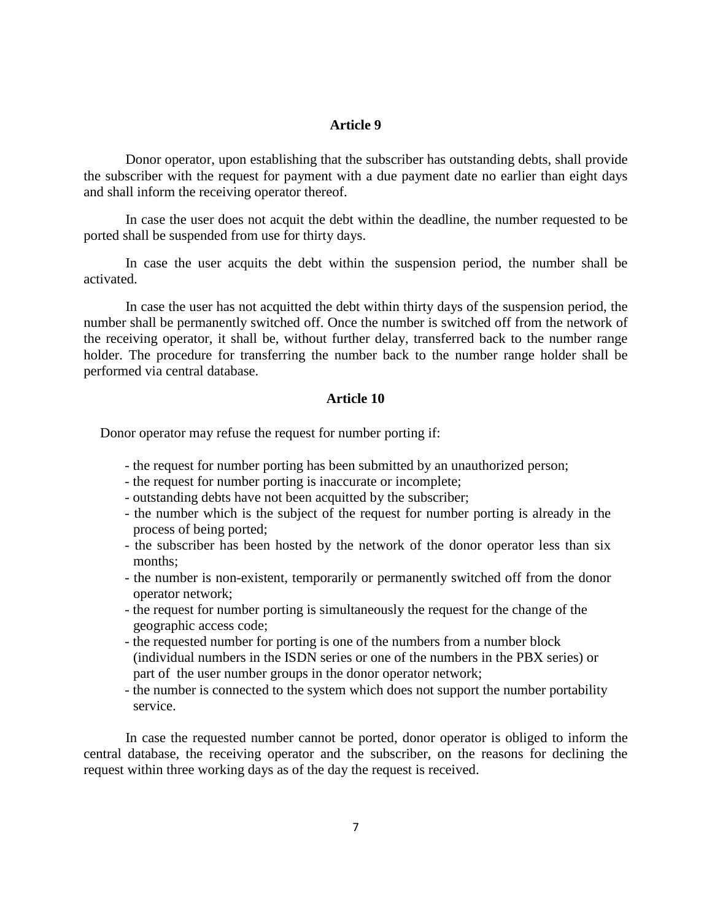#### **Article 9**

Donor operator, upon establishing that the subscriber has outstanding debts, shall provide the subscriber with the request for payment with a due payment date no earlier than eight days and shall inform the receiving operator thereof.

In case the user does not acquit the debt within the deadline, the number requested to be ported shall be suspended from use for thirty days.

In case the user acquits the debt within the suspension period, the number shall be activated.

In case the user has not acquitted the debt within thirty days of the suspension period, the number shall be permanently switched off. Once the number is switched off from the network of the receiving operator, it shall be, without further delay, transferred back to the number range holder. The procedure for transferring the number back to the number range holder shall be performed via central database.

#### **Article 10**

Donor operator may refuse the request for number porting if:

- the request for number porting has been submitted by an unauthorized person;
- the request for number porting is inaccurate or incomplete;
- outstanding debts have not been acquitted by the subscriber;
- the number which is the subject of the request for number porting is already in the process of being ported;
- the subscriber has been hosted by the network of the donor operator less than six months;
- the number is non-existent, temporarily or permanently switched off from the donor operator network;
- the request for number porting is simultaneously the request for the change of the geographic access code;
- the requested number for porting is one of the numbers from a number block (individual numbers in the ISDN series or one of the numbers in the PBX series) or part of the user number groups in the donor operator network;
- the number is connected to the system which does not support the number portability service.

In case the requested number cannot be ported, donor operator is obliged to inform the central database, the receiving operator and the subscriber, on the reasons for declining the request within three working days as of the day the request is received.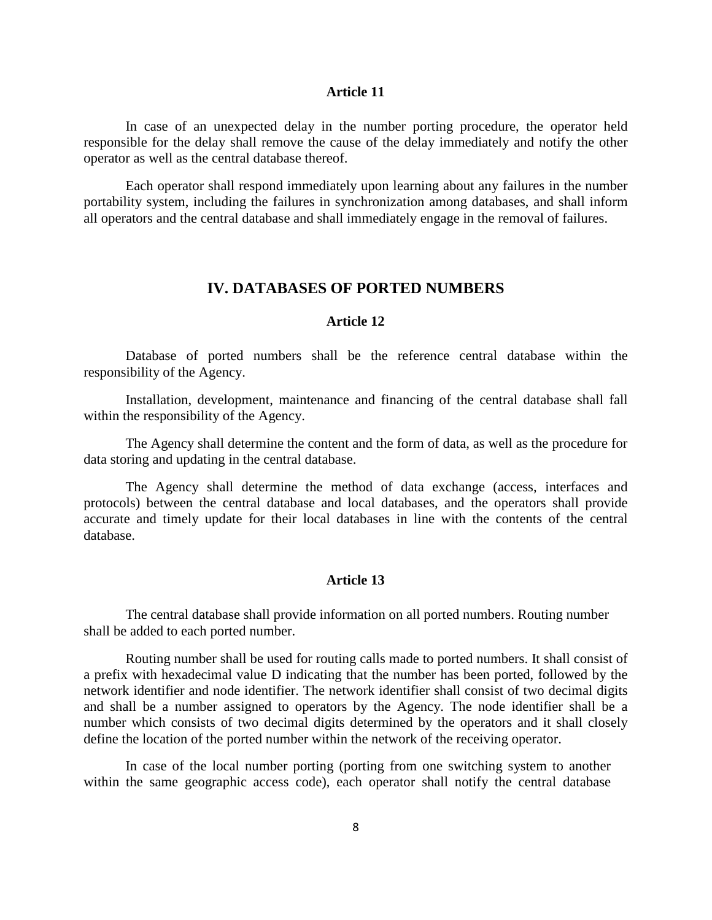#### **Article 11**

In case of an unexpected delay in the number porting procedure, the operator held responsible for the delay shall remove the cause of the delay immediately and notify the other operator as well as the central database thereof.

Each operator shall respond immediately upon learning about any failures in the number portability system, including the failures in synchronization among databases, and shall inform all operators and the central database and shall immediately engage in the removal of failures.

## **IV. DATABASES OF PORTED NUMBERS**

## **Article 12**

Database of ported numbers shall be the reference central database within the responsibility of the Agency.

Installation, development, maintenance and financing of the central database shall fall within the responsibility of the Agency.

The Agency shall determine the content and the form of data, as well as the procedure for data storing and updating in the central database.

The Agency shall determine the method of data exchange (access, interfaces and protocols) between the central database and local databases, and the operators shall provide accurate and timely update for their local databases in line with the contents of the central database.

#### **Article 13**

The central database shall provide information on all ported numbers. Routing number shall be added to each ported number.

Routing number shall be used for routing calls made to ported numbers. It shall consist of a prefix with hexadecimal value D indicating that the number has been ported, followed by the network identifier and node identifier. The network identifier shall consist of two decimal digits and shall be a number assigned to operators by the Agency. The node identifier shall be a number which consists of two decimal digits determined by the operators and it shall closely define the location of the ported number within the network of the receiving operator.

In case of the local number porting (porting from one switching system to another within the same geographic access code), each operator shall notify the central database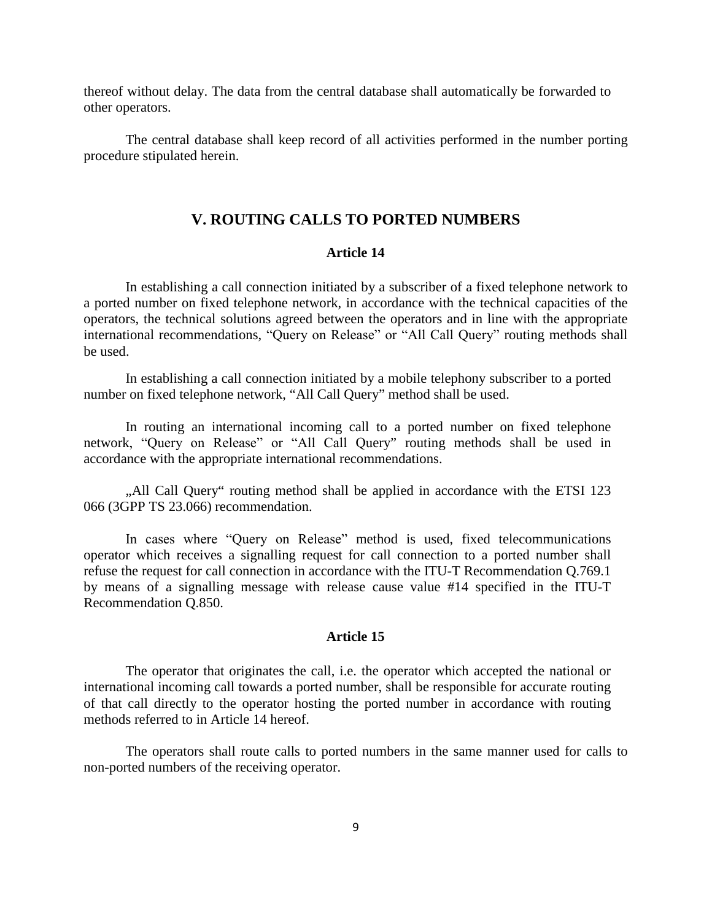thereof without delay. The data from the central database shall automatically be forwarded to other operators.

The central database shall keep record of all activities performed in the number porting procedure stipulated herein.

# **V. ROUTING CALLS TO PORTED NUMBERS**

#### **Article 14**

In establishing a call connection initiated by a subscriber of a fixed telephone network to a ported number on fixed telephone network, in accordance with the technical capacities of the operators, the technical solutions agreed between the operators and in line with the appropriate international recommendations, "Query оn Release" or "All Call Query" routing methods shall be used.

In establishing a call connection initiated by a mobile telephony subscriber to a ported number on fixed telephone network, "All Call Query" method shall be used.

In routing an international incoming call to a ported number on fixed telephone network, "Query оn Release" or "All Call Query" routing methods shall be used in accordance with the appropriate international recommendations.

"All Call Query" routing method shall be applied in accordance with the ETSI 123 066 (3GPP TS 23.066) recommendation.

In cases where "Query on Release" method is used, fixed telecommunications operator which receives a signalling request for call connection to a ported number shall refuse the request for call connection in accordance with the ITU-T Recommendation Q.769.1 by means of a signalling message with release cause value #14 specified in the ITU-T Recommendation Q.850.

#### **Article 15**

The operator that originates the call, i.e. the operator which accepted the national or international incoming call towards a ported number, shall be responsible for accurate routing of that call directly to the operator hosting the ported number in accordance with routing methods referred to in Article 14 hereof.

The operators shall route calls to ported numbers in the same manner used for calls to non-ported numbers of the receiving operator.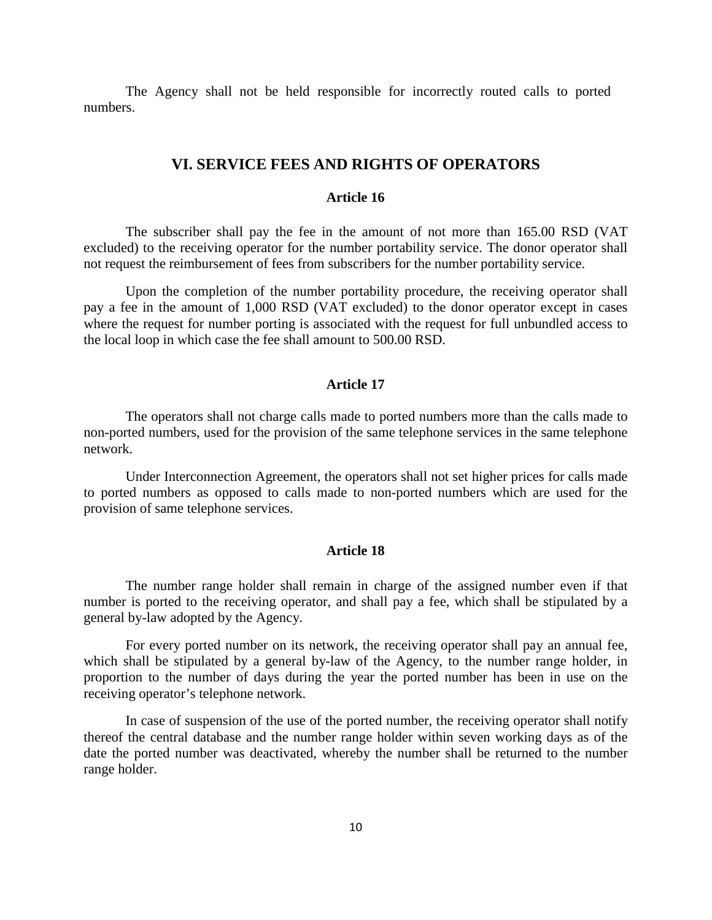The Agency shall not be held responsible for incorrectly routed calls to ported numbers.

## **VI. SERVICE FEES AND RIGHTS OF OPERATORS**

#### **Article 16**

The subscriber shall pay the fee in the amount of not more than 165.00 RSD (VAT excluded) to the receiving operator for the number portability service. The donor operator shall not request the reimbursement of fees from subscribers for the number portability service.

Upon the completion of the number portability procedure, the receiving operator shall pay a fee in the amount of 1,000 RSD (VAT excluded) to the donor operator except in cases where the request for number porting is associated with the request for full unbundled access to the local loop in which case the fee shall amount to 500.00 RSD.

### **Article 17**

The operators shall not charge calls made to ported numbers more than the calls made to non-ported numbers, used for the provision of the same telephone services in the same telephone network.

Under Interconnection Agreement, the operators shall not set higher prices for calls made to ported numbers as opposed to calls made to non-ported numbers which are used for the provision of same telephone services.

#### **Article 18**

The number range holder shall remain in charge of the assigned number even if that number is ported to the receiving operator, and shall pay a fee, which shall be stipulated by a general by-law adopted by the Agency.

For every ported number on its network, the receiving operator shall pay an annual fee, which shall be stipulated by a general by-law of the Agency, to the number range holder, in proportion to the number of days during the year the ported number has been in use on the receiving operator's telephone network.

In case of suspension of the use of the ported number, the receiving operator shall notify thereof the central database and the number range holder within seven working days as of the date the ported number was deactivated, whereby the number shall be returned to the number range holder.